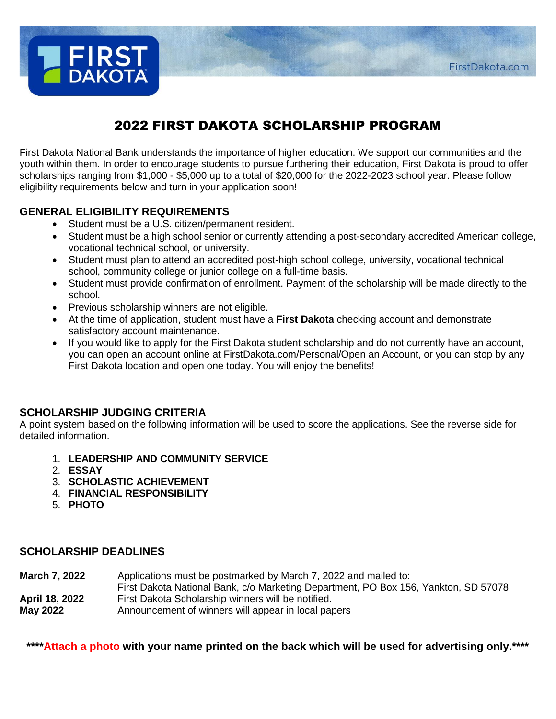

# 2022 FIRST DAKOTA SCHOLARSHIP PROGRAM

First Dakota National Bank understands the importance of higher education. We support our communities and the youth within them. In order to encourage students to pursue furthering their education, First Dakota is proud to offer scholarships ranging from \$1,000 - \$5,000 up to a total of \$20,000 for the 2022-2023 school year. Please follow eligibility requirements below and turn in your application soon!

# **GENERAL ELIGIBILITY REQUIREMENTS**

- Student must be a U.S. citizen/permanent resident.
- Student must be a high school senior or currently attending a post-secondary accredited American college, vocational technical school, or university.
- Student must plan to attend an accredited post-high school college, university, vocational technical school, community college or junior college on a full-time basis.
- Student must provide confirmation of enrollment. Payment of the scholarship will be made directly to the school.
- Previous scholarship winners are not eligible.
- At the time of application, student must have a **First Dakota** checking account and demonstrate satisfactory account maintenance.
- If you would like to apply for the First Dakota student scholarship and do not currently have an account, you can open an account online at FirstDakota.com/Personal/Open an Account, or you can stop by any First Dakota location and open one today. You will enjoy the benefits!

## **SCHOLARSHIP JUDGING CRITERIA**

A point system based on the following information will be used to score the applications. See the reverse side for detailed information.

- 1. **LEADERSHIP AND COMMUNITY SERVICE**
- 2. **ESSAY**
- 3. **SCHOLASTIC ACHIEVEMENT**
- 4. **FINANCIAL RESPONSIBILITY**
- 5. **PHOTO**

## **SCHOLARSHIP DEADLINES**

**March 7, 2022** Applications must be postmarked by March 7, 2022 and mailed to:

- First Dakota National Bank, c/o Marketing Department, PO Box 156, Yankton, SD 57078 **April 18, 2022** First Dakota Scholarship winners will be notified.
- **May 2022** Announcement of winners will appear in local papers

**\*\*\*\*Attach a photo with your name printed on the back which will be used for advertising only.\*\*\*\***